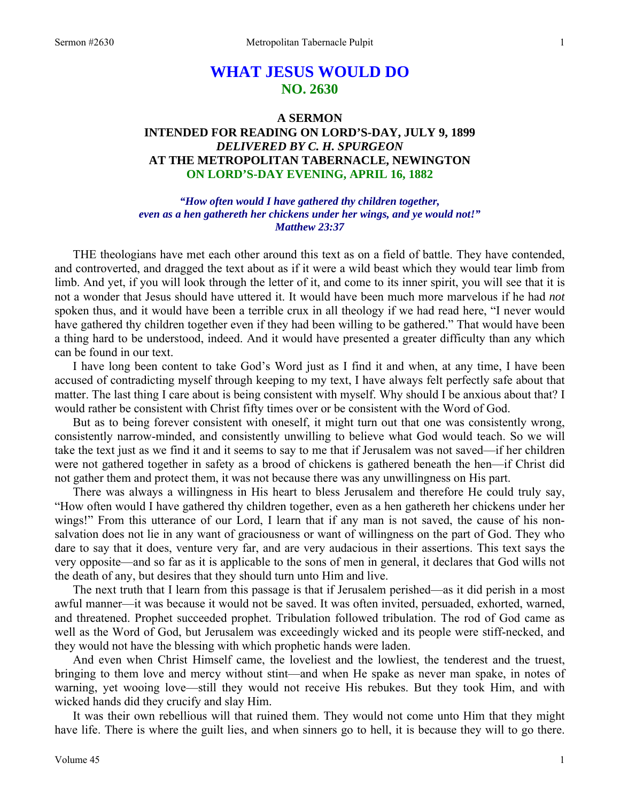# **WHAT JESUS WOULD DO NO. 2630**

## **A SERMON INTENDED FOR READING ON LORD'S-DAY, JULY 9, 1899**  *DELIVERED BY C. H. SPURGEON*  **AT THE METROPOLITAN TABERNACLE, NEWINGTON ON LORD'S-DAY EVENING, APRIL 16, 1882**

*"How often would I have gathered thy children together, even as a hen gathereth her chickens under her wings, and ye would not!" Matthew 23:37* 

THE theologians have met each other around this text as on a field of battle. They have contended, and controverted, and dragged the text about as if it were a wild beast which they would tear limb from limb. And yet, if you will look through the letter of it, and come to its inner spirit, you will see that it is not a wonder that Jesus should have uttered it. It would have been much more marvelous if he had *not* spoken thus, and it would have been a terrible crux in all theology if we had read here, "I never would have gathered thy children together even if they had been willing to be gathered." That would have been a thing hard to be understood, indeed. And it would have presented a greater difficulty than any which can be found in our text.

 I have long been content to take God's Word just as I find it and when, at any time, I have been accused of contradicting myself through keeping to my text, I have always felt perfectly safe about that matter. The last thing I care about is being consistent with myself. Why should I be anxious about that? I would rather be consistent with Christ fifty times over or be consistent with the Word of God.

 But as to being forever consistent with oneself, it might turn out that one was consistently wrong, consistently narrow-minded, and consistently unwilling to believe what God would teach. So we will take the text just as we find it and it seems to say to me that if Jerusalem was not saved—if her children were not gathered together in safety as a brood of chickens is gathered beneath the hen—if Christ did not gather them and protect them, it was not because there was any unwillingness on His part.

 There was always a willingness in His heart to bless Jerusalem and therefore He could truly say, "How often would I have gathered thy children together, even as a hen gathereth her chickens under her wings!" From this utterance of our Lord, I learn that if any man is not saved, the cause of his nonsalvation does not lie in any want of graciousness or want of willingness on the part of God. They who dare to say that it does, venture very far, and are very audacious in their assertions. This text says the very opposite—and so far as it is applicable to the sons of men in general, it declares that God wills not the death of any, but desires that they should turn unto Him and live.

 The next truth that I learn from this passage is that if Jerusalem perished—as it did perish in a most awful manner—it was because it would not be saved. It was often invited, persuaded, exhorted, warned, and threatened. Prophet succeeded prophet. Tribulation followed tribulation. The rod of God came as well as the Word of God, but Jerusalem was exceedingly wicked and its people were stiff-necked, and they would not have the blessing with which prophetic hands were laden.

 And even when Christ Himself came, the loveliest and the lowliest, the tenderest and the truest, bringing to them love and mercy without stint—and when He spake as never man spake, in notes of warning, yet wooing love—still they would not receive His rebukes. But they took Him, and with wicked hands did they crucify and slay Him.

 It was their own rebellious will that ruined them. They would not come unto Him that they might have life. There is where the guilt lies, and when sinners go to hell, it is because they will to go there.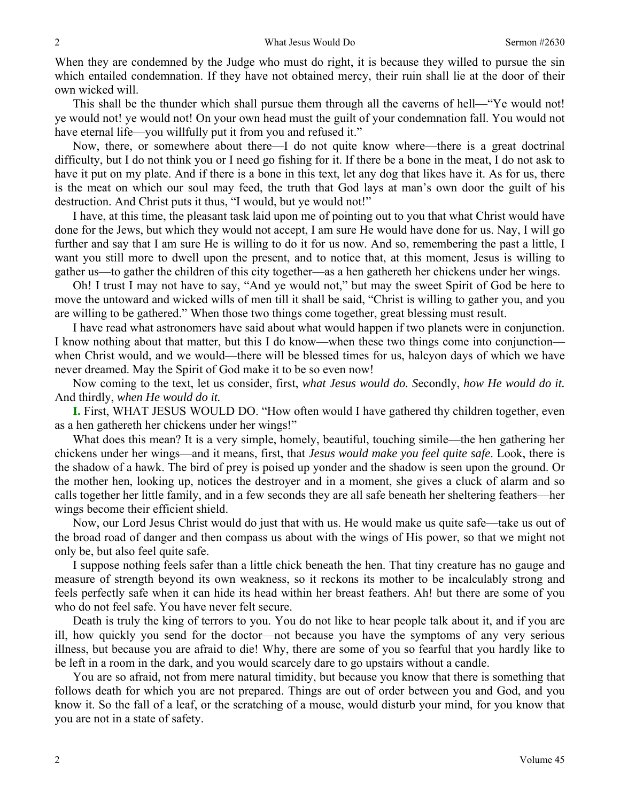When they are condemned by the Judge who must do right, it is because they willed to pursue the sin which entailed condemnation. If they have not obtained mercy, their ruin shall lie at the door of their own wicked will.

 This shall be the thunder which shall pursue them through all the caverns of hell—"Ye would not! ye would not! ye would not! On your own head must the guilt of your condemnation fall. You would not have eternal life—you willfully put it from you and refused it."

 Now, there, or somewhere about there—I do not quite know where—there is a great doctrinal difficulty, but I do not think you or I need go fishing for it. If there be a bone in the meat, I do not ask to have it put on my plate. And if there is a bone in this text, let any dog that likes have it. As for us, there is the meat on which our soul may feed, the truth that God lays at man's own door the guilt of his destruction. And Christ puts it thus, "I would, but ye would not!"

 I have, at this time, the pleasant task laid upon me of pointing out to you that what Christ would have done for the Jews, but which they would not accept, I am sure He would have done for us. Nay, I will go further and say that I am sure He is willing to do it for us now. And so, remembering the past a little, I want you still more to dwell upon the present, and to notice that, at this moment, Jesus is willing to gather us—to gather the children of this city together—as a hen gathereth her chickens under her wings.

 Oh! I trust I may not have to say, "And ye would not," but may the sweet Spirit of God be here to move the untoward and wicked wills of men till it shall be said, "Christ is willing to gather you, and you are willing to be gathered." When those two things come together, great blessing must result.

 I have read what astronomers have said about what would happen if two planets were in conjunction. I know nothing about that matter, but this I do know—when these two things come into conjunction when Christ would, and we would—there will be blessed times for us, halcyon days of which we have never dreamed. May the Spirit of God make it to be so even now!

 Now coming to the text, let us consider, first, *what Jesus would do. S*econdly, *how He would do it.*  And thirdly, *when He would do it.* 

**I.** First, WHAT JESUS WOULD DO. "How often would I have gathered thy children together, even as a hen gathereth her chickens under her wings!"

 What does this mean? It is a very simple, homely, beautiful, touching simile—the hen gathering her chickens under her wings—and it means, first, that *Jesus would make you feel quite safe*. Look, there is the shadow of a hawk. The bird of prey is poised up yonder and the shadow is seen upon the ground. Or the mother hen, looking up, notices the destroyer and in a moment, she gives a cluck of alarm and so calls together her little family, and in a few seconds they are all safe beneath her sheltering feathers—her wings become their efficient shield.

 Now, our Lord Jesus Christ would do just that with us. He would make us quite safe—take us out of the broad road of danger and then compass us about with the wings of His power, so that we might not only be, but also feel quite safe.

 I suppose nothing feels safer than a little chick beneath the hen. That tiny creature has no gauge and measure of strength beyond its own weakness, so it reckons its mother to be incalculably strong and feels perfectly safe when it can hide its head within her breast feathers. Ah! but there are some of you who do not feel safe. You have never felt secure.

 Death is truly the king of terrors to you. You do not like to hear people talk about it, and if you are ill, how quickly you send for the doctor—not because you have the symptoms of any very serious illness, but because you are afraid to die! Why, there are some of you so fearful that you hardly like to be left in a room in the dark, and you would scarcely dare to go upstairs without a candle.

 You are so afraid, not from mere natural timidity, but because you know that there is something that follows death for which you are not prepared. Things are out of order between you and God, and you know it. So the fall of a leaf, or the scratching of a mouse, would disturb your mind, for you know that you are not in a state of safety.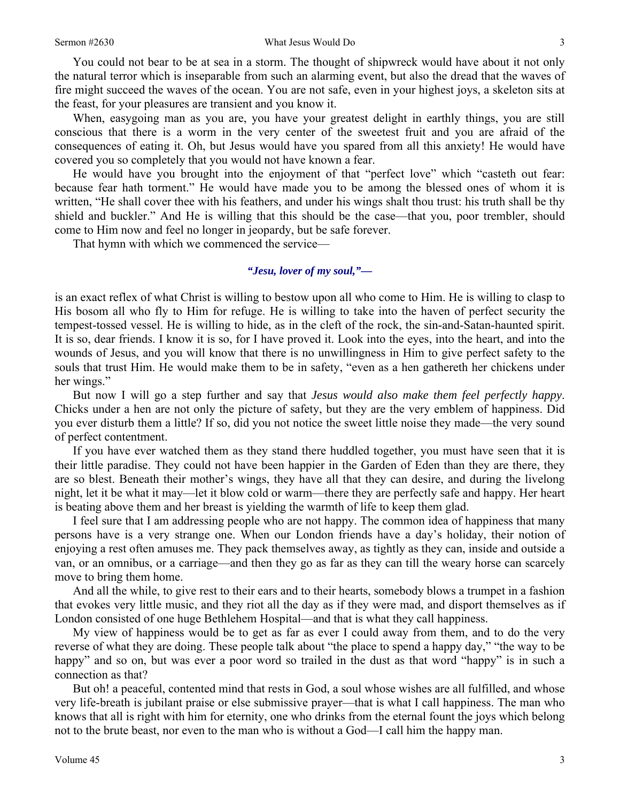You could not bear to be at sea in a storm. The thought of shipwreck would have about it not only the natural terror which is inseparable from such an alarming event, but also the dread that the waves of fire might succeed the waves of the ocean. You are not safe, even in your highest joys, a skeleton sits at the feast, for your pleasures are transient and you know it.

 When, easygoing man as you are, you have your greatest delight in earthly things, you are still conscious that there is a worm in the very center of the sweetest fruit and you are afraid of the consequences of eating it. Oh, but Jesus would have you spared from all this anxiety! He would have covered you so completely that you would not have known a fear.

 He would have you brought into the enjoyment of that "perfect love" which "casteth out fear: because fear hath torment." He would have made you to be among the blessed ones of whom it is written, "He shall cover thee with his feathers, and under his wings shalt thou trust: his truth shall be thy shield and buckler." And He is willing that this should be the case—that you, poor trembler, should come to Him now and feel no longer in jeopardy, but be safe forever.

That hymn with which we commenced the service—

#### *"Jesu, lover of my soul,"—*

is an exact reflex of what Christ is willing to bestow upon all who come to Him. He is willing to clasp to His bosom all who fly to Him for refuge. He is willing to take into the haven of perfect security the tempest-tossed vessel. He is willing to hide, as in the cleft of the rock, the sin-and-Satan-haunted spirit. It is so, dear friends. I know it is so, for I have proved it. Look into the eyes, into the heart, and into the wounds of Jesus, and you will know that there is no unwillingness in Him to give perfect safety to the souls that trust Him. He would make them to be in safety, "even as a hen gathereth her chickens under her wings."

 But now I will go a step further and say that *Jesus would also make them feel perfectly happy*. Chicks under a hen are not only the picture of safety, but they are the very emblem of happiness. Did you ever disturb them a little? If so, did you not notice the sweet little noise they made—the very sound of perfect contentment.

 If you have ever watched them as they stand there huddled together, you must have seen that it is their little paradise. They could not have been happier in the Garden of Eden than they are there, they are so blest. Beneath their mother's wings, they have all that they can desire, and during the livelong night, let it be what it may—let it blow cold or warm—there they are perfectly safe and happy. Her heart is beating above them and her breast is yielding the warmth of life to keep them glad.

 I feel sure that I am addressing people who are not happy. The common idea of happiness that many persons have is a very strange one. When our London friends have a day's holiday, their notion of enjoying a rest often amuses me. They pack themselves away, as tightly as they can, inside and outside a van, or an omnibus, or a carriage—and then they go as far as they can till the weary horse can scarcely move to bring them home.

 And all the while, to give rest to their ears and to their hearts, somebody blows a trumpet in a fashion that evokes very little music, and they riot all the day as if they were mad, and disport themselves as if London consisted of one huge Bethlehem Hospital—and that is what they call happiness.

 My view of happiness would be to get as far as ever I could away from them, and to do the very reverse of what they are doing. These people talk about "the place to spend a happy day," "the way to be happy" and so on, but was ever a poor word so trailed in the dust as that word "happy" is in such a connection as that?

 But oh! a peaceful, contented mind that rests in God, a soul whose wishes are all fulfilled, and whose very life-breath is jubilant praise or else submissive prayer—that is what I call happiness. The man who knows that all is right with him for eternity, one who drinks from the eternal fount the joys which belong not to the brute beast, nor even to the man who is without a God—I call him the happy man.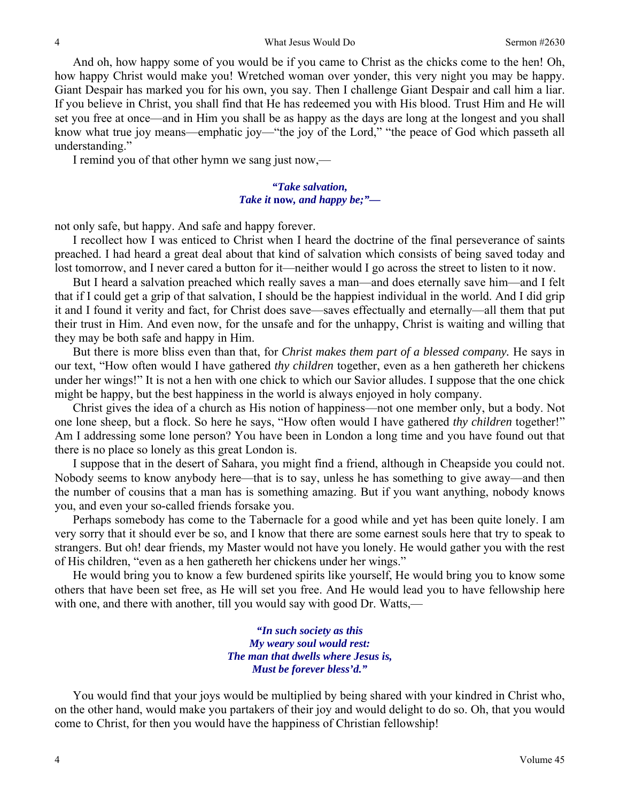And oh, how happy some of you would be if you came to Christ as the chicks come to the hen! Oh, how happy Christ would make you! Wretched woman over yonder, this very night you may be happy. Giant Despair has marked you for his own, you say. Then I challenge Giant Despair and call him a liar. If you believe in Christ, you shall find that He has redeemed you with His blood. Trust Him and He will set you free at once—and in Him you shall be as happy as the days are long at the longest and you shall know what true joy means—emphatic joy—"the joy of the Lord," "the peace of God which passeth all understanding."

I remind you of that other hymn we sang just now,—

*"Take salvation, Take it* **now***, and happy be;"—* 

not only safe, but happy. And safe and happy forever.

 I recollect how I was enticed to Christ when I heard the doctrine of the final perseverance of saints preached. I had heard a great deal about that kind of salvation which consists of being saved today and lost tomorrow, and I never cared a button for it—neither would I go across the street to listen to it now.

 But I heard a salvation preached which really saves a man—and does eternally save him—and I felt that if I could get a grip of that salvation, I should be the happiest individual in the world. And I did grip it and I found it verity and fact, for Christ does save—saves effectually and eternally—all them that put their trust in Him. And even now, for the unsafe and for the unhappy, Christ is waiting and willing that they may be both safe and happy in Him.

 But there is more bliss even than that, for *Christ makes them part of a blessed company.* He says in our text, "How often would I have gathered *thy children* together, even as a hen gathereth her chickens under her wings!" It is not a hen with one chick to which our Savior alludes. I suppose that the one chick might be happy, but the best happiness in the world is always enjoyed in holy company.

 Christ gives the idea of a church as His notion of happiness—not one member only, but a body. Not one lone sheep, but a flock. So here he says, "How often would I have gathered *thy children* together!" Am I addressing some lone person? You have been in London a long time and you have found out that there is no place so lonely as this great London is.

 I suppose that in the desert of Sahara, you might find a friend, although in Cheapside you could not. Nobody seems to know anybody here—that is to say, unless he has something to give away—and then the number of cousins that a man has is something amazing. But if you want anything, nobody knows you, and even your so-called friends forsake you.

 Perhaps somebody has come to the Tabernacle for a good while and yet has been quite lonely. I am very sorry that it should ever be so, and I know that there are some earnest souls here that try to speak to strangers. But oh! dear friends, my Master would not have you lonely. He would gather you with the rest of His children, "even as a hen gathereth her chickens under her wings."

 He would bring you to know a few burdened spirits like yourself, He would bring you to know some others that have been set free, as He will set you free. And He would lead you to have fellowship here with one, and there with another, till you would say with good Dr. Watts,—

> *"In such society as this My weary soul would rest: The man that dwells where Jesus is, Must be forever bless'd."*

You would find that your joys would be multiplied by being shared with your kindred in Christ who, on the other hand, would make you partakers of their joy and would delight to do so. Oh, that you would come to Christ, for then you would have the happiness of Christian fellowship!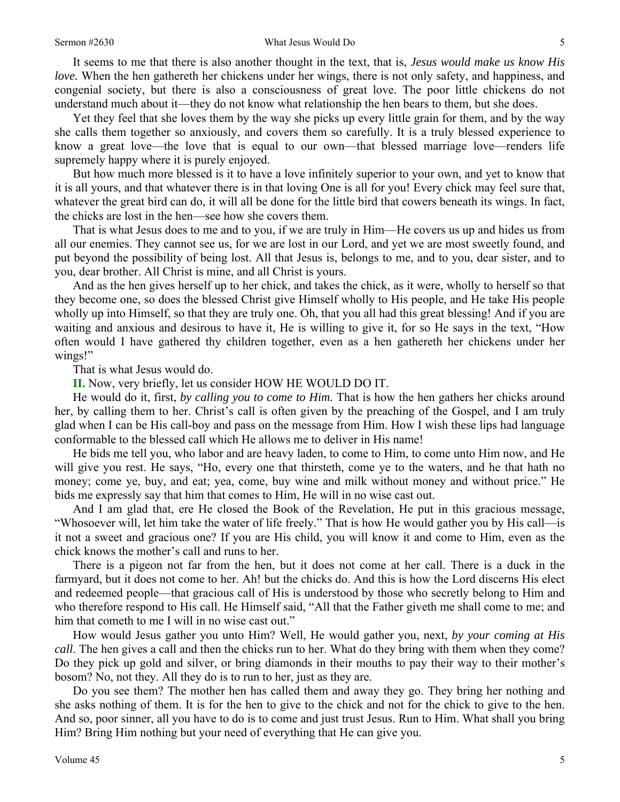#### Sermon #2630 Sermon #2630 What Jesus Would Do 5

 It seems to me that there is also another thought in the text, that is, *Jesus would make us know His love.* When the hen gathereth her chickens under her wings, there is not only safety, and happiness, and congenial society, but there is also a consciousness of great love. The poor little chickens do not understand much about it—they do not know what relationship the hen bears to them, but she does.

 Yet they feel that she loves them by the way she picks up every little grain for them, and by the way she calls them together so anxiously, and covers them so carefully. It is a truly blessed experience to know a great love—the love that is equal to our own—that blessed marriage love—renders life supremely happy where it is purely enjoyed.

 But how much more blessed is it to have a love infinitely superior to your own, and yet to know that it is all yours, and that whatever there is in that loving One is all for you! Every chick may feel sure that, whatever the great bird can do, it will all be done for the little bird that cowers beneath its wings. In fact, the chicks are lost in the hen—see how she covers them.

 That is what Jesus does to me and to you, if we are truly in Him—He covers us up and hides us from all our enemies. They cannot see us, for we are lost in our Lord, and yet we are most sweetly found, and put beyond the possibility of being lost. All that Jesus is, belongs to me, and to you, dear sister, and to you, dear brother. All Christ is mine, and all Christ is yours.

 And as the hen gives herself up to her chick, and takes the chick, as it were, wholly to herself so that they become one, so does the blessed Christ give Himself wholly to His people, and He take His people wholly up into Himself, so that they are truly one. Oh, that you all had this great blessing! And if you are waiting and anxious and desirous to have it, He is willing to give it, for so He says in the text, "How often would I have gathered thy children together, even as a hen gathereth her chickens under her wings!"

That is what Jesus would do.

#### **II.** Now, very briefly, let us consider HOW HE WOULD DO IT.

 He would do it, first, *by calling you to come to Him.* That is how the hen gathers her chicks around her, by calling them to her. Christ's call is often given by the preaching of the Gospel, and I am truly glad when I can be His call-boy and pass on the message from Him. How I wish these lips had language conformable to the blessed call which He allows me to deliver in His name!

 He bids me tell you, who labor and are heavy laden, to come to Him, to come unto Him now, and He will give you rest. He says, "Ho, every one that thirsteth, come ye to the waters, and he that hath no money; come ye, buy, and eat; yea, come, buy wine and milk without money and without price." He bids me expressly say that him that comes to Him, He will in no wise cast out.

 And I am glad that, ere He closed the Book of the Revelation, He put in this gracious message, "Whosoever will, let him take the water of life freely." That is how He would gather you by His call—is it not a sweet and gracious one? If you are His child, you will know it and come to Him, even as the chick knows the mother's call and runs to her.

 There is a pigeon not far from the hen, but it does not come at her call. There is a duck in the farmyard, but it does not come to her. Ah! but the chicks do. And this is how the Lord discerns His elect and redeemed people—that gracious call of His is understood by those who secretly belong to Him and who therefore respond to His call. He Himself said, "All that the Father giveth me shall come to me; and him that cometh to me I will in no wise cast out."

 How would Jesus gather you unto Him? Well, He would gather you, next, *by your coming at His call*. The hen gives a call and then the chicks run to her. What do they bring with them when they come? Do they pick up gold and silver, or bring diamonds in their mouths to pay their way to their mother's bosom? No, not they. All they do is to run to her, just as they are.

 Do you see them? The mother hen has called them and away they go. They bring her nothing and she asks nothing of them. It is for the hen to give to the chick and not for the chick to give to the hen. And so, poor sinner, all you have to do is to come and just trust Jesus. Run to Him. What shall you bring Him? Bring Him nothing but your need of everything that He can give you.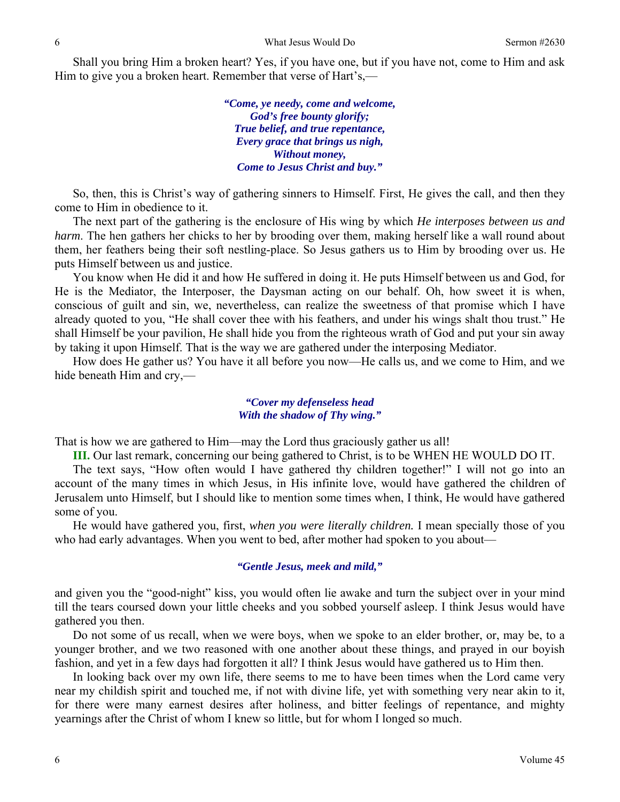Shall you bring Him a broken heart? Yes, if you have one, but if you have not, come to Him and ask Him to give you a broken heart. Remember that verse of Hart's,—

> *"Come, ye needy, come and welcome, God's free bounty glorify; True belief, and true repentance, Every grace that brings us nigh, Without money, Come to Jesus Christ and buy."*

 So, then, this is Christ's way of gathering sinners to Himself. First, He gives the call, and then they come to Him in obedience to it.

 The next part of the gathering is the enclosure of His wing by which *He interposes between us and harm*. The hen gathers her chicks to her by brooding over them, making herself like a wall round about them, her feathers being their soft nestling-place. So Jesus gathers us to Him by brooding over us. He puts Himself between us and justice.

 You know when He did it and how He suffered in doing it. He puts Himself between us and God, for He is the Mediator, the Interposer, the Daysman acting on our behalf. Oh, how sweet it is when, conscious of guilt and sin, we, nevertheless, can realize the sweetness of that promise which I have already quoted to you, "He shall cover thee with his feathers, and under his wings shalt thou trust." He shall Himself be your pavilion, He shall hide you from the righteous wrath of God and put your sin away by taking it upon Himself. That is the way we are gathered under the interposing Mediator.

 How does He gather us? You have it all before you now—He calls us, and we come to Him, and we hide beneath Him and cry,—

#### *"Cover my defenseless head With the shadow of Thy wing."*

That is how we are gathered to Him—may the Lord thus graciously gather us all!

**III.** Our last remark, concerning our being gathered to Christ, is to be WHEN HE WOULD DO IT.

 The text says, "How often would I have gathered thy children together!" I will not go into an account of the many times in which Jesus, in His infinite love, would have gathered the children of Jerusalem unto Himself, but I should like to mention some times when, I think, He would have gathered some of you.

 He would have gathered you, first, *when you were literally children.* I mean specially those of you who had early advantages. When you went to bed, after mother had spoken to you about—

#### *"Gentle Jesus, meek and mild,"*

and given you the "good-night" kiss, you would often lie awake and turn the subject over in your mind till the tears coursed down your little cheeks and you sobbed yourself asleep. I think Jesus would have gathered you then.

 Do not some of us recall, when we were boys, when we spoke to an elder brother, or, may be, to a younger brother, and we two reasoned with one another about these things, and prayed in our boyish fashion, and yet in a few days had forgotten it all? I think Jesus would have gathered us to Him then.

 In looking back over my own life, there seems to me to have been times when the Lord came very near my childish spirit and touched me, if not with divine life, yet with something very near akin to it, for there were many earnest desires after holiness, and bitter feelings of repentance, and mighty yearnings after the Christ of whom I knew so little, but for whom I longed so much.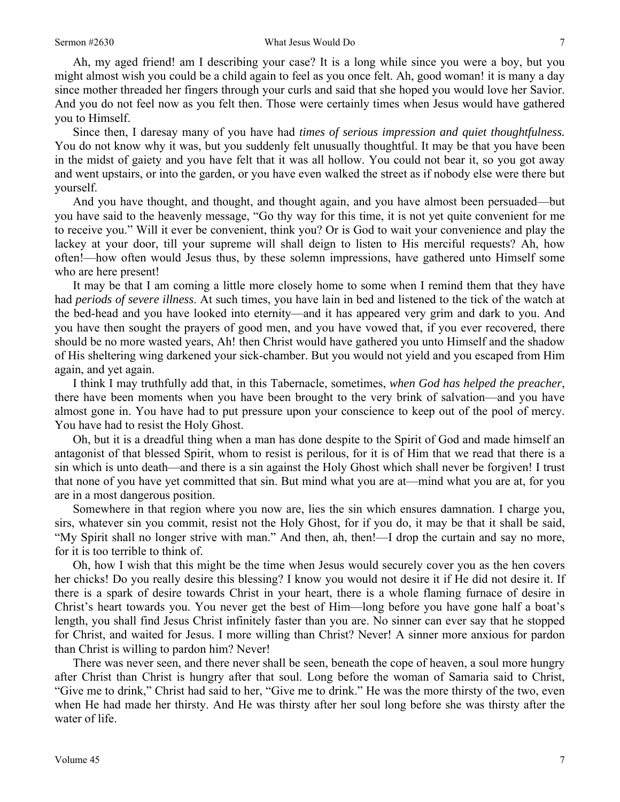Ah, my aged friend! am I describing your case? It is a long while since you were a boy, but you might almost wish you could be a child again to feel as you once felt. Ah, good woman! it is many a day since mother threaded her fingers through your curls and said that she hoped you would love her Savior. And you do not feel now as you felt then. Those were certainly times when Jesus would have gathered you to Himself.

 Since then, I daresay many of you have had *times of serious impression and quiet thoughtfulness.*  You do not know why it was, but you suddenly felt unusually thoughtful. It may be that you have been in the midst of gaiety and you have felt that it was all hollow. You could not bear it, so you got away and went upstairs, or into the garden, or you have even walked the street as if nobody else were there but yourself.

 And you have thought, and thought, and thought again, and you have almost been persuaded—but you have said to the heavenly message, "Go thy way for this time, it is not yet quite convenient for me to receive you." Will it ever be convenient, think you? Or is God to wait your convenience and play the lackey at your door, till your supreme will shall deign to listen to His merciful requests? Ah, how often!—how often would Jesus thus, by these solemn impressions, have gathered unto Himself some who are here present!

 It may be that I am coming a little more closely home to some when I remind them that they have had *periods of severe illness*. At such times, you have lain in bed and listened to the tick of the watch at the bed-head and you have looked into eternity—and it has appeared very grim and dark to you. And you have then sought the prayers of good men, and you have vowed that, if you ever recovered, there should be no more wasted years, Ah! then Christ would have gathered you unto Himself and the shadow of His sheltering wing darkened your sick-chamber. But you would not yield and you escaped from Him again, and yet again.

 I think I may truthfully add that, in this Tabernacle, sometimes, *when God has helped the preacher*, there have been moments when you have been brought to the very brink of salvation—and you have almost gone in. You have had to put pressure upon your conscience to keep out of the pool of mercy. You have had to resist the Holy Ghost.

 Oh, but it is a dreadful thing when a man has done despite to the Spirit of God and made himself an antagonist of that blessed Spirit, whom to resist is perilous, for it is of Him that we read that there is a sin which is unto death—and there is a sin against the Holy Ghost which shall never be forgiven! I trust that none of you have yet committed that sin. But mind what you are at—mind what you are at, for you are in a most dangerous position.

 Somewhere in that region where you now are, lies the sin which ensures damnation. I charge you, sirs, whatever sin you commit, resist not the Holy Ghost, for if you do, it may be that it shall be said, "My Spirit shall no longer strive with man." And then, ah, then!—I drop the curtain and say no more, for it is too terrible to think of.

 Oh, how I wish that this might be the time when Jesus would securely cover you as the hen covers her chicks! Do you really desire this blessing? I know you would not desire it if He did not desire it. If there is a spark of desire towards Christ in your heart, there is a whole flaming furnace of desire in Christ's heart towards you. You never get the best of Him—long before you have gone half a boat's length, you shall find Jesus Christ infinitely faster than you are. No sinner can ever say that he stopped for Christ, and waited for Jesus. I more willing than Christ? Never! A sinner more anxious for pardon than Christ is willing to pardon him? Never!

 There was never seen, and there never shall be seen, beneath the cope of heaven, a soul more hungry after Christ than Christ is hungry after that soul. Long before the woman of Samaria said to Christ, "Give me to drink," Christ had said to her, "Give me to drink." He was the more thirsty of the two, even when He had made her thirsty. And He was thirsty after her soul long before she was thirsty after the water of life.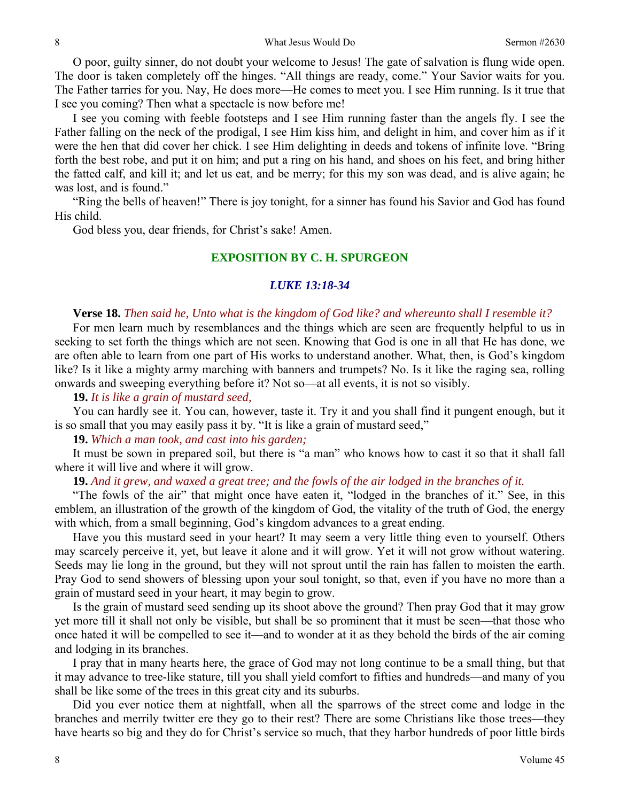8 8 What Jesus Would Do Sermon #2630

 O poor, guilty sinner, do not doubt your welcome to Jesus! The gate of salvation is flung wide open. The door is taken completely off the hinges. "All things are ready, come." Your Savior waits for you. The Father tarries for you. Nay, He does more—He comes to meet you. I see Him running. Is it true that I see you coming? Then what a spectacle is now before me!

 I see you coming with feeble footsteps and I see Him running faster than the angels fly. I see the Father falling on the neck of the prodigal, I see Him kiss him, and delight in him, and cover him as if it were the hen that did cover her chick. I see Him delighting in deeds and tokens of infinite love. "Bring forth the best robe, and put it on him; and put a ring on his hand, and shoes on his feet, and bring hither the fatted calf, and kill it; and let us eat, and be merry; for this my son was dead, and is alive again; he was lost, and is found."

 "Ring the bells of heaven!" There is joy tonight, for a sinner has found his Savior and God has found His child.

God bless you, dear friends, for Christ's sake! Amen.

### **EXPOSITION BY C. H. SPURGEON**

#### *LUKE 13:18-34*

#### **Verse 18.** *Then said he, Unto what is the kingdom of God like? and whereunto shall I resemble it?*

For men learn much by resemblances and the things which are seen are frequently helpful to us in seeking to set forth the things which are not seen. Knowing that God is one in all that He has done, we are often able to learn from one part of His works to understand another. What, then, is God's kingdom like? Is it like a mighty army marching with banners and trumpets? No. Is it like the raging sea, rolling onwards and sweeping everything before it? Not so—at all events, it is not so visibly.

**19.** *It is like a grain of mustard seed,* 

You can hardly see it. You can, however, taste it. Try it and you shall find it pungent enough, but it is so small that you may easily pass it by. "It is like a grain of mustard seed,"

**19.** *Which a man took, and cast into his garden;* 

It must be sown in prepared soil, but there is "a man" who knows how to cast it so that it shall fall where it will live and where it will grow.

**19.** *And it grew, and waxed a great tree; and the fowls of the air lodged in the branches of it.* 

"The fowls of the air" that might once have eaten it, "lodged in the branches of it." See, in this emblem, an illustration of the growth of the kingdom of God, the vitality of the truth of God, the energy with which, from a small beginning, God's kingdom advances to a great ending.

 Have you this mustard seed in your heart? It may seem a very little thing even to yourself. Others may scarcely perceive it, yet, but leave it alone and it will grow. Yet it will not grow without watering. Seeds may lie long in the ground, but they will not sprout until the rain has fallen to moisten the earth. Pray God to send showers of blessing upon your soul tonight, so that, even if you have no more than a grain of mustard seed in your heart, it may begin to grow.

 Is the grain of mustard seed sending up its shoot above the ground? Then pray God that it may grow yet more till it shall not only be visible, but shall be so prominent that it must be seen—that those who once hated it will be compelled to see it—and to wonder at it as they behold the birds of the air coming and lodging in its branches.

 I pray that in many hearts here, the grace of God may not long continue to be a small thing, but that it may advance to tree-like stature, till you shall yield comfort to fifties and hundreds—and many of you shall be like some of the trees in this great city and its suburbs.

 Did you ever notice them at nightfall, when all the sparrows of the street come and lodge in the branches and merrily twitter ere they go to their rest? There are some Christians like those trees—they have hearts so big and they do for Christ's service so much, that they harbor hundreds of poor little birds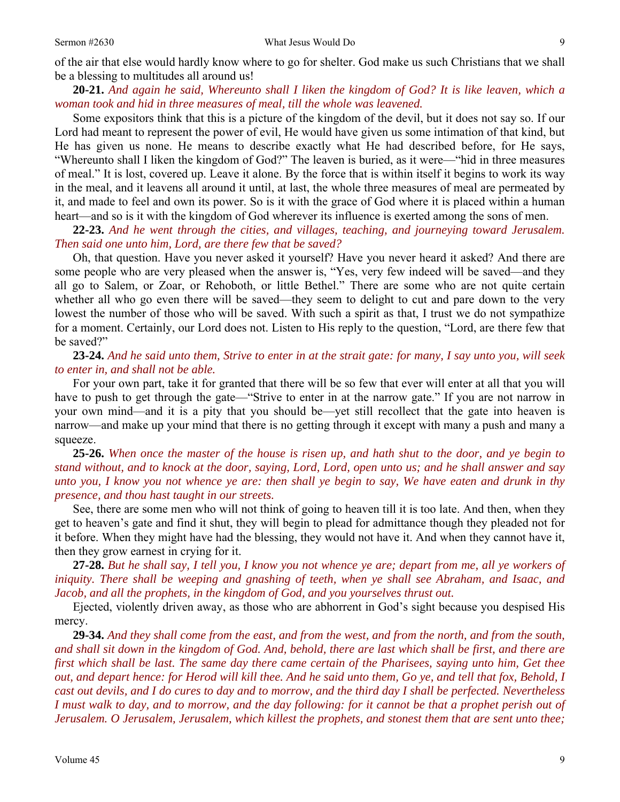of the air that else would hardly know where to go for shelter. God make us such Christians that we shall be a blessing to multitudes all around us!

**20-21.** *And again he said, Whereunto shall I liken the kingdom of God? It is like leaven, which a woman took and hid in three measures of meal, till the whole was leavened.* 

Some expositors think that this is a picture of the kingdom of the devil, but it does not say so. If our Lord had meant to represent the power of evil, He would have given us some intimation of that kind, but He has given us none. He means to describe exactly what He had described before, for He says, "Whereunto shall I liken the kingdom of God?" The leaven is buried, as it were—"hid in three measures of meal." It is lost, covered up. Leave it alone. By the force that is within itself it begins to work its way in the meal, and it leavens all around it until, at last, the whole three measures of meal are permeated by it, and made to feel and own its power. So is it with the grace of God where it is placed within a human heart—and so is it with the kingdom of God wherever its influence is exerted among the sons of men.

**22-23.** *And he went through the cities, and villages, teaching, and journeying toward Jerusalem. Then said one unto him, Lord, are there few that be saved?* 

Oh, that question. Have you never asked it yourself? Have you never heard it asked? And there are some people who are very pleased when the answer is, "Yes, very few indeed will be saved—and they all go to Salem, or Zoar, or Rehoboth, or little Bethel." There are some who are not quite certain whether all who go even there will be saved—they seem to delight to cut and pare down to the very lowest the number of those who will be saved. With such a spirit as that, I trust we do not sympathize for a moment. Certainly, our Lord does not. Listen to His reply to the question, "Lord, are there few that be saved?"

**23-24.** *And he said unto them, Strive to enter in at the strait gate: for many, I say unto you, will seek to enter in, and shall not be able.* 

For your own part, take it for granted that there will be so few that ever will enter at all that you will have to push to get through the gate—"Strive to enter in at the narrow gate." If you are not narrow in your own mind—and it is a pity that you should be—yet still recollect that the gate into heaven is narrow—and make up your mind that there is no getting through it except with many a push and many a squeeze.

**25-26.** *When once the master of the house is risen up, and hath shut to the door, and ye begin to stand without, and to knock at the door, saying, Lord, Lord, open unto us; and he shall answer and say unto you, I know you not whence ye are: then shall ye begin to say, We have eaten and drunk in thy presence, and thou hast taught in our streets.* 

See, there are some men who will not think of going to heaven till it is too late. And then, when they get to heaven's gate and find it shut, they will begin to plead for admittance though they pleaded not for it before. When they might have had the blessing, they would not have it. And when they cannot have it, then they grow earnest in crying for it.

**27-28.** *But he shall say, I tell you, I know you not whence ye are; depart from me, all ye workers of*  iniquity. There shall be weeping and gnashing of teeth, when ye shall see Abraham, and Isaac, and *Jacob, and all the prophets, in the kingdom of God, and you yourselves thrust out.* 

Ejected, violently driven away, as those who are abhorrent in God's sight because you despised His mercy.

**29-34.** *And they shall come from the east, and from the west, and from the north, and from the south, and shall sit down in the kingdom of God. And, behold, there are last which shall be first, and there are first which shall be last. The same day there came certain of the Pharisees, saying unto him, Get thee out, and depart hence: for Herod will kill thee. And he said unto them, Go ye, and tell that fox, Behold, I cast out devils, and I do cures to day and to morrow, and the third day I shall be perfected. Nevertheless I must walk to day, and to morrow, and the day following: for it cannot be that a prophet perish out of Jerusalem. O Jerusalem, Jerusalem, which killest the prophets, and stonest them that are sent unto thee;*